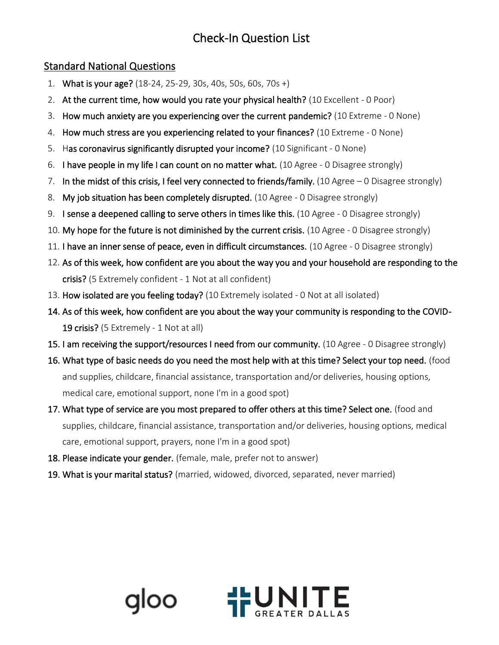# Check-In Question List

## Standard National Questions

- 1. What is your age? (18-24, 25-29, 30s, 40s, 50s, 60s, 70s +)
- 2. At the current time, how would you rate your physical health? (10 Excellent 0 Poor)
- 3. How much anxiety are you experiencing over the current pandemic? (10 Extreme 0 None)
- 4. How much stress are you experiencing related to your finances? (10 Extreme 0 None)
- 5. Has coronavirus significantly disrupted your income? (10 Significant 0 None)
- 6. I have people in my life I can count on no matter what. (10 Agree 0 Disagree strongly)
- 7. In the midst of this crisis, I feel very connected to friends/family. (10 Agree 0 Disagree strongly)
- 8. My job situation has been completely disrupted. (10 Agree 0 Disagree strongly)
- 9. I sense a deepened calling to serve others in times like this. (10 Agree 0 Disagree strongly)
- 10. My hope for the future is not diminished by the current crisis. (10 Agree 0 Disagree strongly)
- 11. I have an inner sense of peace, even in difficult circumstances. (10 Agree 0 Disagree strongly)
- 12. As of this week, how confident are you about the way you and your household are responding to the crisis? (5 Extremely confident - 1 Not at all confident)
- 13. How isolated are you feeling today? (10 Extremely isolated 0 Not at all isolated)
- 14. As of this week, how confident are you about the way your community is responding to the COVID-19 crisis? (5 Extremely - 1 Not at all)
- 15. I am receiving the support/resources I need from our community. (10 Agree 0 Disagree strongly)
- 16. What type of basic needs do you need the most help with at this time? Select your top need. (food and supplies, childcare, financial assistance, transportation and/or deliveries, housing options, medical care, emotional support, none I'm in a good spot)
- 17. What type of service are you most prepared to offer others at this time? Select one. (food and supplies, childcare, financial assistance, transportation and/or deliveries, housing options, medical care, emotional support, prayers, none I'm in a good spot)
- 18. Please indicate your gender. (female, male, prefer not to answer)
- 19. What is your marital status? (married, widowed, divorced, separated, never married)